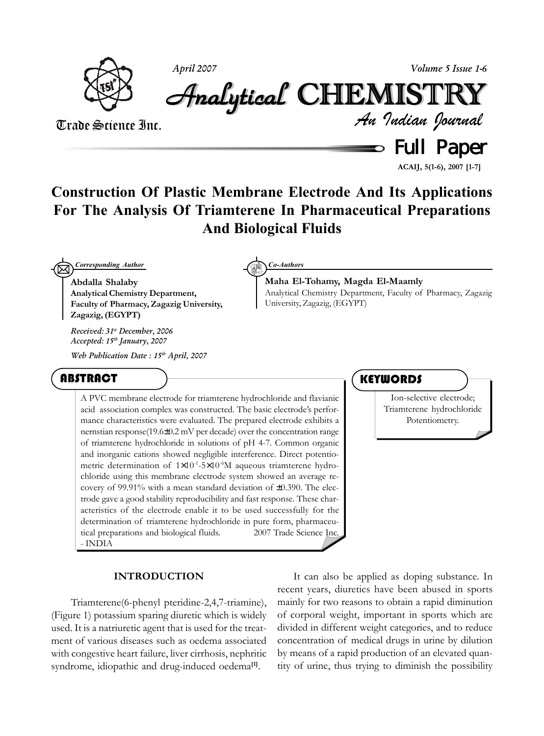

*April 2007 Volume 5 Issue 1-6*

Analytical Analytical Analytical Analytical Analytical Analytical CHEMISTR CHEMISTR HEMISTR HEMISTRYY

**Maha El-Tohamy, Magda El-Maamly**

University, Zagazig, (EGYPT)

Trade Science Inc.

 $\Rightarrow$  Full Paper *An Indian Journal*

**ACAIJ, 5(1-6), 2007 [1-7]**

# **Construction Of Plastic Membrane Electrode And Its Applications For The Analysis Of Triamterene In Pharmaceutical Preparations And Biological Fluids**

 $\boxtimes$ *Corresponding Author Co-Authors*

**Abdalla Shalaby Analytical Chemistry Department, Faculty of Pharmacy, Zagazig University, Zagazig, (EGYPT)**

*Received: 31st December, 2006 Accepted: 15th January, 2007*

*Web Publication Date : 15th April, 2007*

# ABSTRACT

A PVC membrane electrode for triamterene hydrochloride and flavianic acid association complex was constructed. The basic electrode's performance characteristics were evaluated. The prepared electrode exhibits a nernstian response(19.6±0.2 mV per decade) over the concentration range of triamterene hydrochloride in solutions of pH 4-7. Common organic and inorganic cations showed negligible interference. Direct potentiometric determination of 1×10<sup>-1</sup>-5×10<sup>-6</sup>M aqueous triamterene hydrochloride using this membrane electrode system showed an average recovery of 99.91% with a mean standard deviation of ±0.390. The electrode gave a good stability reproducibility and fast response. These characteristics of the electrode enable it to be used successfully for the determination of triamterene hydrochloride in pure form, pharmaceutical preparations and biological fluids.  $\qquad \qquad \qquad \qquad \qquad \qquad \qquad \qquad \qquad \qquad \qquad 2007$  Trade Science Inc. - INDIA

# **INTRODUCTION**

 Triamterene(6-phenyl pteridine-2,4,7-triamine), (Figure 1) potassium sparing diuretic which is widely used. It is a natriuretic agent that is used for the treatment of various diseases such as oedema associated with congestive heart failure, liver cirrhosis, nephritic syndrome, idiopathic and drug-induced oedema**[1]**.

It can also be applied as doping substance. In recent years, diuretics have been abused in sports mainly for two reasons to obtain a rapid diminution of corporal weight, important in sports which are divided in different weight categories, and to reduce concentration of medical drugs in urine by dilution by means of a rapid production of an elevated quantity of urine, thus trying to diminish the possibility

# **KEYWORDS**

Analytical Chemistry Department, Faculty of Pharmacy, Zagazig

Ion-selective electrode; Triamterene hydrochloride Potentiometry.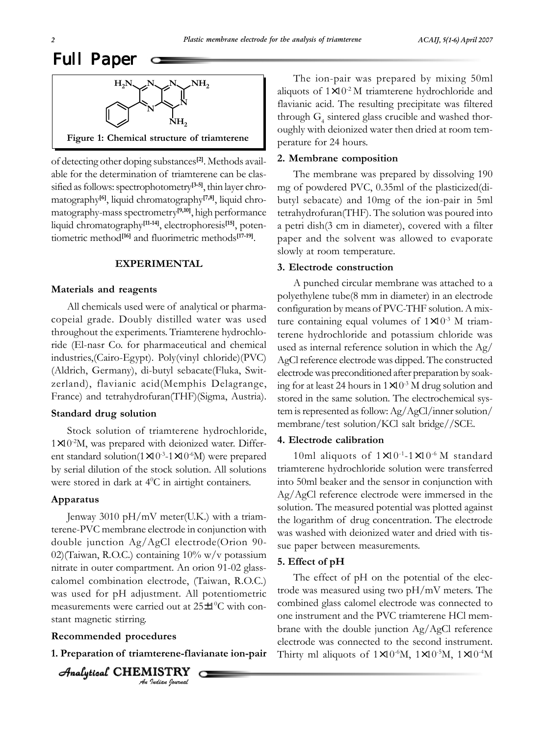

of detecting other doping substances**[2]**. Methods available for the determination of triamterene can be classified as follows: spectrophotometry**[3-5]**, thin layer chromatography**[6]**, liquid chromatography**[7,8]**, liquid chromatography-mass spectrometry**[9,10]**, high performance liquid chromatography**[11-14]**, electrophoresis**[15]**, potentiometric method**[16]** and fluorimetric methods**[17-19]**.

## **EXPERIMENTAL**

#### **Materials and reagents**

All chemicals used were of analytical or pharmacopeial grade. Doubly distilled water was used throughout the experiments. Triamterene hydrochloride (El-nasr Co. for pharmaceutical and chemical industries,(Cairo-Egypt). Poly(vinyl chloride)(PVC) (Aldrich, Germany), di-butyl sebacate(Fluka, Switzerland), flavianic acid(Memphis Delagrange, France) and tetrahydrofuran(THF)(Sigma, Austria).

#### **Standard drug solution**

Stock solution of triamterene hydrochloride,  $1\times10^{-2}$ M, was prepared with deionized water. Different standard solution( $1 \times 10^{-3}$ - $1 \times 10^{-6}$ M) were prepared by serial dilution of the stock solution. All solutions were stored in dark at 4<sup>0</sup>C in airtight containers.

#### **Apparatus**

Jenway 3010 pH/mV meter(U.K.) with a triamterene-PVC membrane electrode in conjunction with double junction Ag/AgCl electrode(Orion 90- 02)(Taiwan, R.O.C.) containing 10% w/v potassium nitrate in outer compartment. An orion 91-02 glasscalomel combination electrode, (Taiwan, R.O.C.) was used for pH adjustment. All potentiometric measurements were carried out at 25±1<sup>o</sup>C with constant magnetic stirring.

### **Recommended procedures**

**1. Preparation of triamterene-flavianate ion-pair**

*An Indian Journal*  $A$ nalytical CHEMISTRY

The ion-pair was prepared by mixing 50ml aliquots of  $1 \times 10^{-2}$  M triamterene hydrochloride and flavianic acid. The resulting precipitate was filtered through  $G_4$  sintered glass crucible and washed thoroughly with deionized water then dried at room temperature for 24 hours.

#### **2. Membrane composition**

The membrane was prepared by dissolving 190 mg of powdered PVC, 0.35ml of the plasticized(dibutyl sebacate) and 10mg of the ion-pair in 5ml tetrahydrofuran(THF). The solution was poured into a petri dish(3 cm in diameter), covered with a filter paper and the solvent was allowed to evaporate slowly at room temperature.

# **3. Electrode construction**

A punched circular membrane was attached to a polyethylene tube(8 mm in diameter) in an electrode configuration by means of PVC-THF solution. A mixture containing equal volumes of  $1\times10^{-3}$  M triamterene hydrochloride and potassium chloride was used as internal reference solution in which the Ag/ AgCl reference electrode was dipped. The constructed electrode was preconditioned after preparation by soaking for at least 24 hours in  $1 \times 10^{-3}$  M drug solution and stored in the same solution. The electrochemical system is represented as follow: Ag/AgCl/inner solution/ membrane/test solution/KCl salt bridge//SCE.

## **4. Electrode calibration**

10ml aliquots of  $1\times10^{-1}$ -1 $\times10^{-6}$  M standard triamterene hydrochloride solution were transferred into 50ml beaker and the sensor in conjunction with Ag/AgCl reference electrode were immersed in the solution. The measured potential was plotted against the logarithm of drug concentration. The electrode was washed with deionized water and dried with tissue paper between measurements.

#### **5. Effect of pH**

The effect of pH on the potential of the electrode was measured using two pH/mV meters. The combined glass calomel electrode was connected to one instrument and the PVC triamterene HCl membrane with the double junction Ag/AgCl reference electrode was connected to the second instrument. Thirty ml aliquots of  $1\times10^{-6}$ M,  $1\times10^{-5}$ M,  $1\times10^{-4}$ M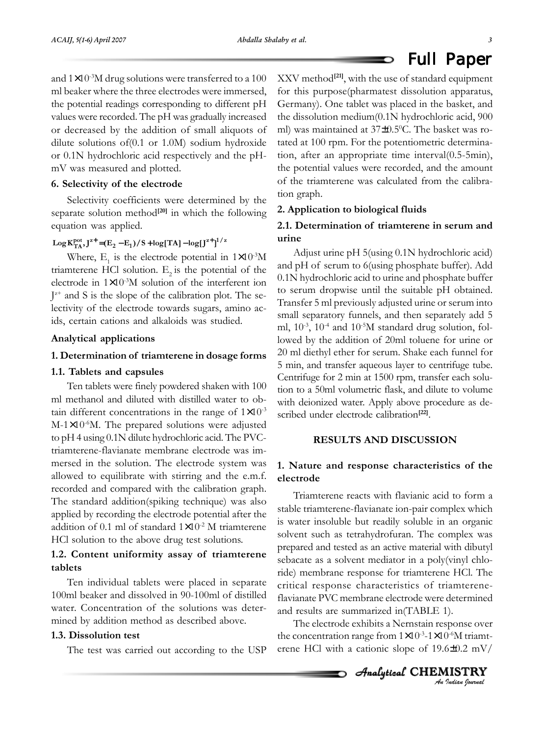and  $1\times10^{-3}$ M drug solutions were transferred to a 100 ml beaker where the three electrodes were immersed, the potential readings corresponding to different pH values were recorded. The pH was gradually increased or decreased by the addition of small aliquots of dilute solutions of(0.1 or 1.0M) sodium hydroxide or 0.1N hydrochloric acid respectively and the pHmV was measured and plotted.

# **6. Selectivity of the electrode**

Selectivity coefficients were determined by the separate solution method**[20]** in which the following equation was applied.

# $\log \frac{K_{TA}^{pot}}{L^4}$ ,  $J^{z+}$  =  $(E_2 - E_1)/S + \log[TA] - \log[J^{z+}]^{1/z}$

Where,  $E_1$  is the electrode potential in  $1 \times 10^{-3} M$ triamterene HCl solution.  $E<sub>2</sub>$  is the potential of the electrode in 1×10-3M solution of the interferent ion  $J^{z+}$  and S is the slope of the calibration plot. The selectivity of the electrode towards sugars, amino acids, certain cations and alkaloids was studied.

#### **Analytical applications**

#### **1. Determination of triamterene in dosage forms**

# **1.1. Tablets and capsules**

Ten tablets were finely powdered shaken with 100 ml methanol and diluted with distilled water to obtain different concentrations in the range of  $1 \times 10^{-3}$ M-1×10<sup>-6</sup>M. The prepared solutions were adjusted to pH 4 using 0.1N dilute hydrochloric acid. The PVCtriamterene-flavianate membrane electrode was immersed in the solution. The electrode system was allowed to equilibrate with stirring and the e.m.f. recorded and compared with the calibration graph. The standard addition(spiking technique) was also applied by recording the electrode potential after the addition of 0.1 ml of standard  $1\times10^{-2}$  M triamterene HCl solution to the above drug test solutions.

# **1.2. Content uniformity assay of triamterene tablets**

Ten individual tablets were placed in separate 100ml beaker and dissolved in 90-100ml of distilled water. Concentration of the solutions was determined by addition method as described above.

# **1.3. Dissolution test**

The test was carried out according to the USP

XXV method**[21]**, with the use of standard equipment for this purpose(pharmatest dissolution apparatus, Germany). One tablet was placed in the basket, and the dissolution medium(0.1N hydrochloric acid, 900 ml) was maintained at 37±0.5°C. The basket was rotated at 100 rpm. For the potentiometric determination, after an appropriate time interval(0.5-5min), the potential values were recorded, and the amount of the triamterene was calculated from the calibration graph.

#### **2. Application to biological fluids**

# **2.1. Determination of triamterene in serum and urine**

Adjust urine pH 5(using 0.1N hydrochloric acid) and pH of serum to 6(using phosphate buffer). Add 0.1N hydrochloric acid to urine and phosphate buffer to serum dropwise until the suitable pH obtained. Transfer 5 ml previously adjusted urine or serum into small separatory funnels, and then separately add 5 ml,  $10^{-3}$ ,  $10^{-4}$  and  $10^{-5}M$  standard drug solution, followed by the addition of 20ml toluene for urine or 20 ml diethyl ether for serum. Shake each funnel for 5 min, and transfer aqueous layer to centrifuge tube. Centrifuge for 2 min at 1500 rpm, transfer each solution to a 50ml volumetric flask, and dilute to volume with deionized water. Apply above procedure as described under electrode calibration<sup>[22]</sup>.

# **RESULTS AND DISCUSSION**

# **1. Nature and response characteristics of the electrode**

Triamterene reacts with flavianic acid to form a stable triamterene-flavianate ion-pair complex which is water insoluble but readily soluble in an organic solvent such as tetrahydrofuran. The complex was prepared and tested as an active material with dibutyl sebacate as a solvent mediator in a poly(vinyl chloride) membrane response for triamterene HCl. The critical response characteristics of triamtereneflavianate PVC membrane electrode were determined and results are summarized in(TABLE 1).

The electrode exhibits a Nernstain response over the concentration range from  $1 \times 10^{-3}$ -1 $\times 10^{-6}$ M triamterene HCl with a cationic slope of 19.6±0.2 mV/

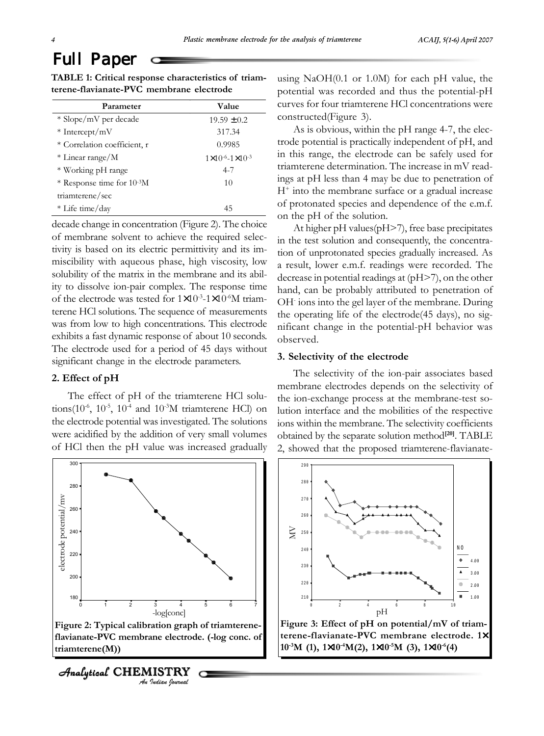| TABLE 1: Critical response characteristics of triam- |  |
|------------------------------------------------------|--|
| terene-flavianate-PVC membrane electrode             |  |

| Parameter                              | Value                                 |
|----------------------------------------|---------------------------------------|
| * Slope/mV per decade                  | $19.59 \pm 0.2$                       |
| $*$ Intercept/mV                       | 317.34                                |
| * Correlation coefficient, r           | 0.9985                                |
| * Linear range/M                       | $1 \times 10^{-6} - 1 \times 10^{-3}$ |
| * Working pH range                     | $4 - 7$                               |
| * Response time for 10 <sup>-3</sup> M | 10                                    |
| triamterene/sec                        |                                       |
| * Life time/day                        | 45                                    |
|                                        |                                       |

decade change in concentration (Figure 2). The choice of membrane solvent to achieve the required selectivity is based on its electric permittivity and its immiscibility with aqueous phase, high viscosity, low solubility of the matrix in the membrane and its ability to dissolve ion-pair complex. The response time of the electrode was tested for  $1 \times 10^{-3}$ -1 $\times 10^{-6}$ M triamterene HCl solutions. The sequence of measurements was from low to high concentrations. This electrode exhibits a fast dynamic response of about 10 seconds. The electrode used for a period of 45 days without significant change in the electrode parameters.

# **2. Effect of pH**

The effect of pH of the triamterene HCl solutions( $10^{-6}$ ,  $10^{-5}$ ,  $10^{-4}$  and  $10^{-3}$ M triamterene HCl) on the electrode potential was investigated. The solutions were acidified by the addition of very small volumes of HCl then the pH value was increased gradually



*An Indian Journal*  $A$ nalytical CHEMISTRY

using NaOH(0.1 or 1.0M) for each pH value, the potential was recorded and thus the potential-pH curves for four triamterene HCl concentrations were constructed(Figure 3).

As is obvious, within the pH range 4-7, the electrode potential is practically independent of pH, and in this range, the electrode can be safely used for triamterene determination. The increase in mV readings at pH less than 4 may be due to penetration of  $H^+$  into the membrane surface or a gradual increase of protonated species and dependence of the e.m.f. on the pH of the solution.

At higher pH values(pH>7), free base precipitates in the test solution and consequently, the concentration of unprotonated species gradually increased. As a result, lower e.m.f. readings were recorded. The decrease in potential readings at (pH>7), on the other hand, can be probably attributed to penetration of OH- ions into the gel layer of the membrane. During the operating life of the electrode(45 days), no significant change in the potential-pH behavior was observed.

## **3. Selectivity of the electrode**

The selectivity of the ion-pair associates based membrane electrodes depends on the selectivity of the ion-exchange process at the membrane-test solution interface and the mobilities of the respective ions within the membrane. The selectivity coefficients obtained by the separate solution method**[20]**. TABLE 2, showed that the proposed triamterene-flavianate-



**Figure 3: Effect of pH on potential/mV of triamterene-flavianate-PVC membrane electrode. 1**× **10-3M (1), 1**×**10-4M(2), 1**×**10-5M (3), 1**×**10-6(4)**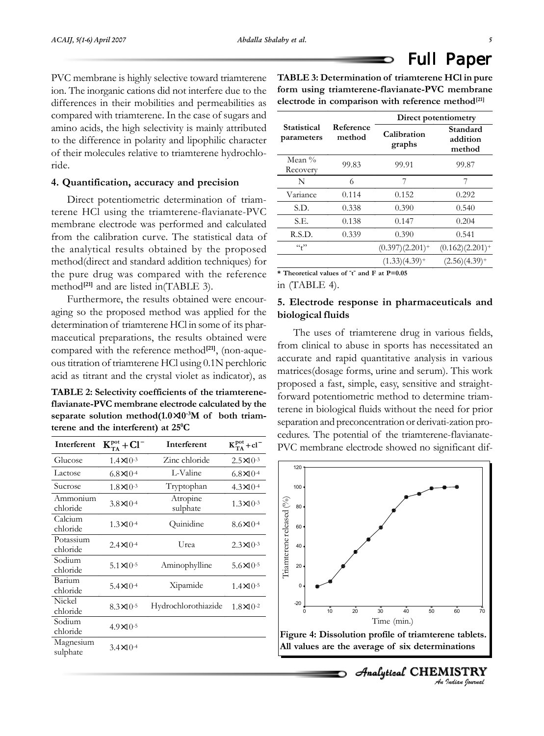PVC membrane is highly selective toward triamterene ion. The inorganic cations did not interfere due to the differences in their mobilities and permeabilities as compared with triamterene. In the case of sugars and amino acids, the high selectivity is mainly attributed to the difference in polarity and lipophilic character of their molecules relative to triamterene hydrochloride.

# **4. Quantification, accuracy and precision**

Direct potentiometric determination of triamterene HCl using the triamterene-flavianate-PVC membrane electrode was performed and calculated from the calibration curve. The statistical data of the analytical results obtained by the proposed method(direct and standard addition techniques) for the pure drug was compared with the reference method<sup>[21]</sup> and are listed in(TABLE 3).

Furthermore, the results obtained were encouraging so the proposed method was applied for the determination of triamterene HCl in some of its pharmaceutical preparations, the results obtained were compared with the reference method**[21]**, (non-aqueous titration of triamterene HCl using 0.1N perchloric acid as titrant and the crystal violet as indicator), as

**TABLE 2: Selectivity coefficients of the triamtereneflavianate-PVC membrane electrode calculated by the separate solution method(1.0**×**10-3M of both triamterene and the interferent) at 250 C**

| Interferent           | $K_{TA}^{pot}$ + Cl <sup>-</sup> | Interferent          | $K_{TA}^{pot}$ + cl <sup>-</sup> |
|-----------------------|----------------------------------|----------------------|----------------------------------|
| Glucose               | $1.4 \times 10^{-3}$             | Zinc chloride        | $2.5 \times 10^{-3}$             |
| Lactose               | $6.8 \times 10^{-4}$             | L-Valine             | $6.8 \times 10^{-4}$             |
| Sucrose               | $1.8 \times 10^{-3}$             | Tryptophan           | $4.3 \times 10^{-4}$             |
| Ammonium<br>chloride  | $3.8 \times 10^{-4}$             | Atropine<br>sulphate | $1.3 \times 10^{-3}$             |
| Calcium<br>chloride   | $1.3 \times 10^{-4}$             | Quinidine            | $8.6 \times 10^{-4}$             |
| Potassium<br>chloride | $2.4 \times 10^{-4}$             | Urea                 | $2.3 \times 10^{-3}$             |
| Sodium<br>chloride    | $5.1 \times 10^{-5}$             | Aminophylline        | $5.6 \times 10^{-5}$             |
| Barium<br>chloride    | $5.4 \times 10^{-4}$             | Xipamide             | $1.4 \times 10^{-5}$             |
| Nickel<br>chloride    | $8.3 \times 10^{-5}$             | Hydrochlorothiazide  | $1.8 \times 10^{-2}$             |
| Sodium<br>chloride    | $4.9 \times 10^{-5}$             |                      |                                  |
| Magnesium<br>sulphate | $3.4 \times 10^{-4}$             |                      |                                  |
|                       |                                  |                      |                                  |

**TABLE 3: Determination of triamterene HCl in pure form using triamterene-flavianate-PVC membrane electrode in comparison with reference method[21]**

|                             |                     | Direct potentiometry  |                                |  |
|-----------------------------|---------------------|-----------------------|--------------------------------|--|
| Statistical<br>parameters   | Reference<br>method | Calibration<br>graphs | Standard<br>addition<br>method |  |
| Mean $\%$<br>Recovery       | 99.83               | 99.91                 | 99.87                          |  |
| N                           | 6                   | 7                     | 7                              |  |
| Variance                    | 0.114               | 0.152                 | 0.292                          |  |
| S.D.                        | 0.338               | 0.390                 | 0.540                          |  |
| S.E.                        | 0.138               | 0.147                 | 0.204                          |  |
| R.S.D.                      | 0.339               | 0.390                 | 0.541                          |  |
| $\mathfrak{c}_\mathfrak{t}$ |                     | $(0.397)(2.201)^+$    | $(0.162)(2.201)^+$             |  |
|                             |                     | $(1.33)(4.39)^+$      | $(2.56)(4.39)$ <sup>+</sup>    |  |

**\* Theoretical values of " t " and F at P=0.05**

in (TABLE 4).

# **5. Electrode response in pharmaceuticals and biological fluids**

The uses of triamterene drug in various fields, from clinical to abuse in sports has necessitated an accurate and rapid quantitative analysis in various matrices(dosage forms, urine and serum). This work proposed a fast, simple, easy, sensitive and straightforward potentiometric method to determine triamterene in biological fluids without the need for prior separation and preconcentration or derivati-zation procedures. The potential of the triamterene-flavianate-PVC membrane electrode showed no significant dif-



*An Indian Journal*

 $A$ nalytical CHEMISTRY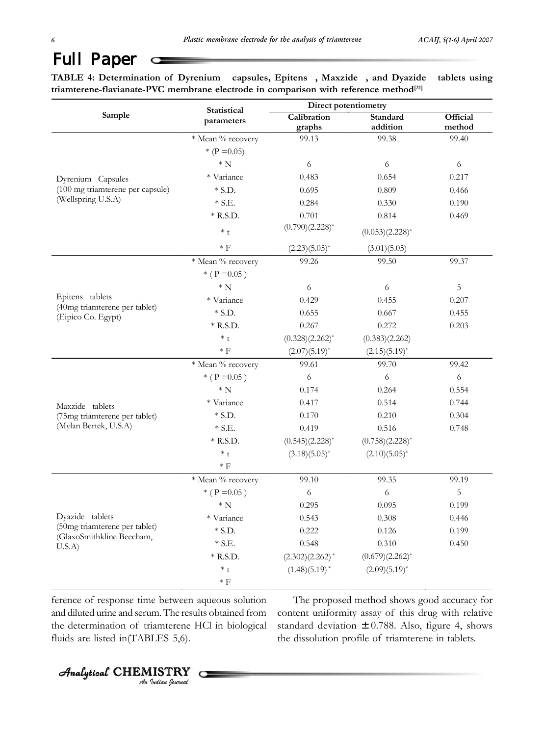TABLE 4: Determination of Dyrenium<sup>®</sup> capsules, Epitens<sup>®</sup>, Maxzide<sup>®</sup>, and Dyazide<sup>®</sup> tablets using **triamterene-flavianate-PVC membrane electrode in comparison with reference method[21]**

|                                                     | Statistical<br>parameters | Direct potentiometry |                      |          |
|-----------------------------------------------------|---------------------------|----------------------|----------------------|----------|
| Sample                                              |                           | Calibration          | Standard             | Official |
|                                                     |                           | graphs               | addition             | method   |
|                                                     | * Mean % recovery         | 99.13                | 99.38                | 99.40    |
|                                                     | * (P = 0.05)              |                      |                      |          |
|                                                     | $* N$                     | 6                    | 6                    | 6        |
| Dyrenium® Capsules                                  | * Variance                | 0.483                | 0.654                | 0.217    |
| (100 mg triamterene per capsule)                    | $*$ S.D.                  | 0.695                | 0.809                | 0.466    |
| (Wellspring U.S.A)                                  | $*$ S.E.                  | 0.284                | 0.330                | 0.190    |
|                                                     | $*$ R.S.D.                | 0.701                | 0.814                | 0.469    |
|                                                     | $*$ t                     | $(0.790)(2.228)^{*}$ | $(0.053)(2.228)^*$   |          |
|                                                     | $\ast$ F                  | $(2.23)(5.05)^{*}$   | (3.01)(5.05)         |          |
|                                                     | * Mean % recovery         | 99.26                | 99.50                | 99.37    |
|                                                     | * ( $P = 0.05$ )          |                      |                      |          |
|                                                     | ${}^*$ N                  | 6                    | 6                    | 5        |
| Epitens <sup>®</sup> tablets                        | * Variance                | 0.429                | 0.455                | 0.207    |
| (40mg triamterene per tablet)<br>(Eipico Co. Egypt) | $*$ S.D.                  | 0.655                | 0.667                | 0.455    |
|                                                     | $*$ R.S.D.                | 0.267                | 0.272                | 0.203    |
|                                                     | $*$ t                     | $(0.328)(2.262)^*$   | (0.383)(2.262)       |          |
|                                                     | $*$ F                     | $(2.07)(5.19)^{*}$   | $(2.15)(5.19)^{*}$   |          |
|                                                     | * Mean % recovery         | 99.61                | 99.70                | 99.42    |
|                                                     | * ( $P = 0.05$ )          | 6                    | 6                    | 6        |
|                                                     | ${}^*$ N                  | 0.174                | 0.264                | 0.554    |
| Maxzide® tablets                                    | * Variance                | 0.417                | 0.514                | 0.744    |
| (75mg triamterene per tablet)                       | $*$ S.D.                  | 0.170                | 0.210                | 0.304    |
| (Mylan Bertek, U.S.A)                               | $*$ S.E.                  | 0.419                | 0.516                | 0.748    |
|                                                     | $*$ R.S.D.                | $(0.545)(2.228)^{*}$ | $(0.758)(2.228)^{*}$ |          |
|                                                     | $*$ t                     | $(3.18)(5.05)^{*}$   | $(2.10)(5.05)^{*}$   |          |
|                                                     | $\ast$ F                  |                      |                      |          |
|                                                     | * Mean % recovery         | 99.10                | 99.35                | 99.19    |
|                                                     | * ( $P = 0.05$ )          | 6                    | 6                    | 5        |
|                                                     | ${}^*$ N                  | 0.295                | 0.095                | 0.199    |
| Dyazide® tablets                                    | * Variance                | 0.543                | 0.308                | 0.446    |
| (50mg triamterene per tablet)                       | $*$ S.D.                  | 0.222                | 0.126                | 0.199    |
| (GlaxoSmithkline Beecham,<br>U.S.A)                 | $\ast$ S.E.               | 0.548                | 0.310                | 0.450    |
|                                                     | $*$ R.S.D.                | $(2.302)(2.262)^*$   | $(0.679)(2.262)^{*}$ |          |
|                                                     | $^\ast$ t                 | $(1.48)(5.19)^{*}$   | $(2.09)(5.19)^{*}$   |          |
|                                                     | $\ast$ $\rm{F}$           |                      |                      |          |

ference of response time between aqueous solution and diluted urine and serum. The results obtained from the determination of triamterene HCl in biological fluids are listed in(TABLES 5,6).

The proposed method shows good accuracy for content uniformity assay of this drug with relative standard deviation  $\pm$  0.788. Also, figure 4, shows the dissolution profile of triamterene in tablets.

*An Indian Journal* Analytical Analytical Analytical Analytical CHEMISTR HEMISTRY